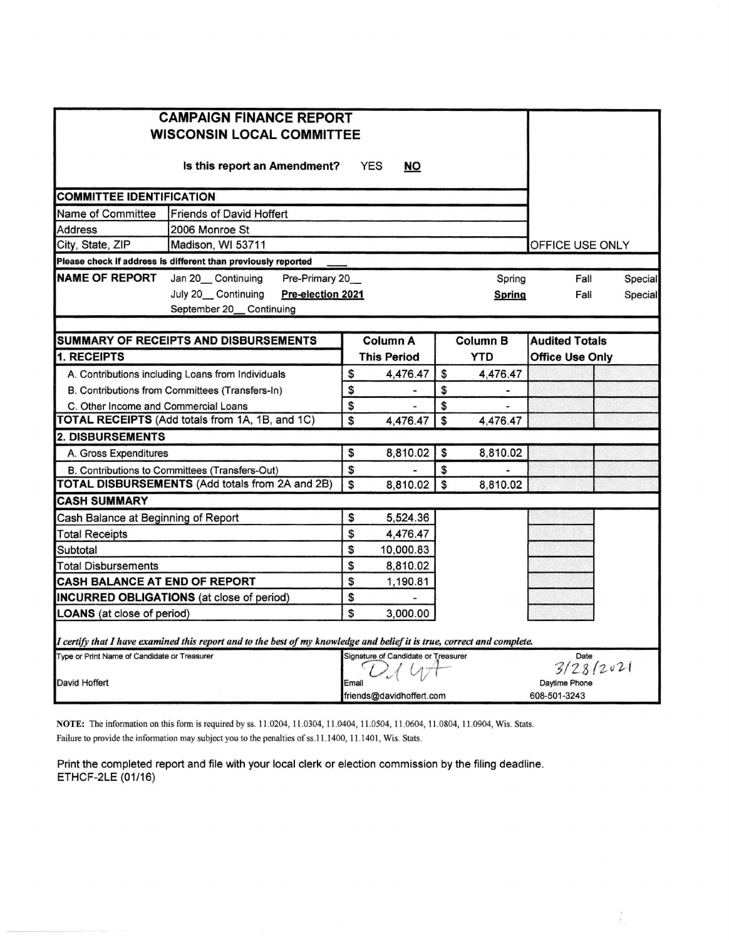| <b>CAMPAIGN FINANCE REPORT</b><br><b>WISCONSIN LOCAL COMMITTEE</b>                                                      |          |                                     |          |                               |                        |         |  |  |  |
|-------------------------------------------------------------------------------------------------------------------------|----------|-------------------------------------|----------|-------------------------------|------------------------|---------|--|--|--|
| Is this report an Amendment?                                                                                            |          | <b>YES</b><br><b>NO</b>             |          |                               |                        |         |  |  |  |
| <b>COMMITTEE IDENTIFICATION</b>                                                                                         |          |                                     |          |                               |                        |         |  |  |  |
| Name of Committee<br><b>Friends of David Hoffert</b>                                                                    |          |                                     |          |                               |                        |         |  |  |  |
| 2006 Monroe St<br>Address                                                                                               |          |                                     |          |                               |                        |         |  |  |  |
| City, State, ZIP<br>Madison, WI 53711<br>OFFICE USE ONLY                                                                |          |                                     |          |                               |                        |         |  |  |  |
| Please check if address is different than previously reported                                                           |          |                                     |          |                               |                        |         |  |  |  |
| <b>NAME OF REPORT</b><br>Jan 20__Continuing<br>Pre-Primary 20                                                           |          |                                     |          | Spring                        | Fall                   | Special |  |  |  |
| July 20 Continuing<br>Pre-election 2021<br>September 20__Continuing                                                     |          |                                     |          | Spring                        | Fall                   | Special |  |  |  |
| <b>SUMMARY OF RECEIPTS AND DISBURSEMENTS</b><br><b>Audited Totals</b><br><b>Column A</b><br><b>Column B</b>             |          |                                     |          |                               |                        |         |  |  |  |
| 1. RECEIPTS                                                                                                             |          | <b>This Period</b>                  |          | <b>YTD</b>                    | <b>Office Use Only</b> |         |  |  |  |
| A. Contributions including Loans from Individuals                                                                       | \$       | 4,476.47                            | \$       | 4,476.47                      |                        |         |  |  |  |
| B. Contributions from Committees (Transfers-In)                                                                         | \$       | ٠                                   | \$       | -                             |                        |         |  |  |  |
| C. Other Income and Commercial Loans                                                                                    | \$       | ٠                                   | \$       |                               |                        |         |  |  |  |
| TOTAL RECEIPTS (Add totals from 1A, 1B, and 1C)                                                                         | \$       | 4,476.47                            | \$       | 4,476.47                      |                        |         |  |  |  |
| <b>2. DISBURSEMENTS</b>                                                                                                 |          |                                     |          |                               |                        |         |  |  |  |
| A. Gross Expenditures                                                                                                   | \$       | 8,810.02                            | \$       | 8,810.02                      |                        |         |  |  |  |
| B. Contributions to Committees (Transfers-Out)<br><b>TOTAL DISBURSEMENTS (Add totals from 2A and 2B)</b>                | \$<br>\$ | 8,810.02                            | \$<br>\$ |                               |                        |         |  |  |  |
| <b>CASH SUMMARY</b>                                                                                                     |          |                                     |          | 8,810.02                      |                        |         |  |  |  |
|                                                                                                                         | \$       |                                     |          |                               |                        |         |  |  |  |
| Cash Balance at Beginning of Report                                                                                     | \$       | 5,524.36<br>4,476.47                |          |                               |                        |         |  |  |  |
| <b>Total Receipts</b>                                                                                                   | \$       |                                     |          |                               |                        |         |  |  |  |
| Subtotal<br>Total Disbursements                                                                                         | \$       | 10,000.83<br>8,810.02               |          |                               |                        |         |  |  |  |
| <b>CASH BALANCE AT END OF REPORT</b>                                                                                    | \$       | 1,190.81                            |          |                               |                        |         |  |  |  |
| <b>INCURRED OBLIGATIONS</b> (at close of period)                                                                        | \$       |                                     |          |                               |                        |         |  |  |  |
| <b>LOANS</b> (at close of period)                                                                                       | \$       | 3,000.00                            |          |                               |                        |         |  |  |  |
| I certify that I have examined this report and to the best of my knowledge and belief it is true, correct and complete. |          |                                     |          |                               |                        |         |  |  |  |
| Type or Print Name of Candidate or Treasurer                                                                            |          | Signature of Candidate or Treasurer |          |                               | Date                   |         |  |  |  |
|                                                                                                                         |          |                                     |          | 3/28/2021                     |                        |         |  |  |  |
| David Hoffert                                                                                                           | Email    | friends@davidhoffert.com            |          | Davtime Phone<br>608-501-3243 |                        |         |  |  |  |

NOTE: The information on this form is required by ss. 11.0204, 11.0304, 11.0404, 11.0504, 11.0604, 11.0804, 11.0904, Wis. Stats. Failure to provide the information may subject you to the penalties of ss.11.1400, 11.1401, Wis. Stats.

Print the completed report and file with your local clerk or election commission by the filing deadline. ETHCF-2LE (01/16)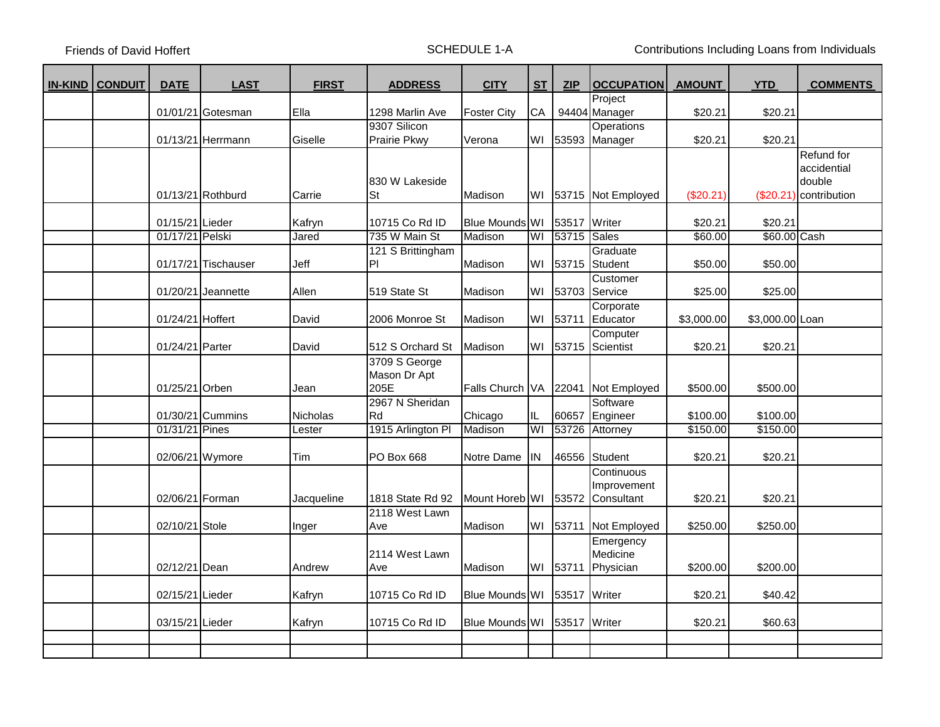Friends of David Hoffert **SCHEDULE 1-A** SCHEDULE 1-A Contributions Including Loans from Individuals

| <b>IN-KIND   CONDUIT</b> | <b>DATE</b>                        | <b>LAST</b>          | <b>FIRST</b>    | <b>ADDRESS</b>                  | <b>CITY</b>               | S <sub>T</sub> | ZIP            | <b>OCCUPATION</b>            | <b>AMOUNT</b>      | <b>YTD</b>              | <b>COMMENTS</b>        |
|--------------------------|------------------------------------|----------------------|-----------------|---------------------------------|---------------------------|----------------|----------------|------------------------------|--------------------|-------------------------|------------------------|
|                          |                                    |                      |                 |                                 |                           |                |                | Project                      |                    |                         |                        |
|                          |                                    | 01/01/21 Gotesman    | Ella            | 1298 Marlin Ave                 | <b>Foster City</b>        | <b>CA</b>      |                | 94404 Manager                | \$20.21            | \$20.21                 |                        |
|                          |                                    | 01/13/21 Herrmann    | Giselle         | 9307 Silicon<br>Prairie Pkwy    | Verona                    | WI             | 53593          | <b>Operations</b><br>Manager | \$20.21            | \$20.21                 |                        |
|                          |                                    |                      |                 |                                 |                           |                |                |                              |                    |                         | Refund for             |
|                          |                                    |                      |                 |                                 |                           |                |                |                              |                    |                         | accidential            |
|                          |                                    |                      |                 | 830 W Lakeside                  |                           |                |                |                              |                    |                         | double                 |
|                          |                                    | 01/13/21 Rothburd    | Carrie          | <b>St</b>                       | Madison                   | WI             |                | 53715 Not Employed           | (\$20.21)          |                         | (\$20.21) contribution |
|                          |                                    |                      |                 |                                 |                           |                |                |                              |                    |                         |                        |
|                          | 01/15/21 Lieder<br>01/17/21 Pelski |                      | Kafryn<br>Jared | 10715 Co Rd ID<br>735 W Main St | Blue Mounds WI<br>Madison | WI             | 53517<br>53715 | Writer<br>Sales              | \$20.21<br>\$60.00 | \$20.21<br>\$60.00 Cash |                        |
|                          |                                    |                      |                 | 121 S Brittingham               |                           |                |                | Graduate                     |                    |                         |                        |
|                          |                                    | 01/17/21 Tischauser  | Jeff            | P                               | Madison                   | WI             | 53715          | Student                      | \$50.00            | \$50.00                 |                        |
|                          |                                    |                      |                 |                                 |                           |                |                | Customer                     |                    |                         |                        |
|                          |                                    | $01/20/21$ Jeannette | Allen           | 519 State St                    | Madison                   | W١             | 53703          | Service                      | \$25.00            | \$25.00                 |                        |
|                          |                                    |                      |                 |                                 |                           |                |                | Corporate                    |                    |                         |                        |
|                          | 01/24/21 Hoffert                   |                      | David           | 2006 Monroe St                  | Madison                   | WI             | 53711          | Educator                     | \$3,000.00         | \$3,000.00 Loan         |                        |
|                          | 01/24/21 Parter                    |                      |                 | 512 S Orchard St                | Madison                   | WI             | 53715          | Computer<br>Scientist        | \$20.21            | \$20.21                 |                        |
|                          |                                    |                      | David           | 3709 S George                   |                           |                |                |                              |                    |                         |                        |
|                          |                                    |                      |                 | Mason Dr Apt                    |                           |                |                |                              |                    |                         |                        |
|                          | 01/25/21 Orben                     |                      | Jean            | 205E                            | Falls Church VA           |                | 22041          | Not Employed                 | \$500.00           | \$500.00                |                        |
|                          |                                    |                      |                 | 2967 N Sheridan                 |                           |                |                | Software                     |                    |                         |                        |
|                          |                                    | 01/30/21 Cummins     | <b>Nicholas</b> | Rd                              | Chicago                   | IL.            | 60657          | Engineer                     | \$100.00]          | \$100.00                |                        |
|                          | 01/31/21 Pines                     |                      | Lester          | 1915 Arlington PI               | Madison                   | WI             | 53726          | Attorney                     | \$150.00           | \$150.00                |                        |
|                          | 02/06/21 Wymore                    |                      | Tim             | PO Box 668                      | Notre Dame                | <b>IN</b>      | 46556          | Student                      | \$20.21            | \$20.21                 |                        |
|                          |                                    |                      |                 |                                 |                           |                |                | Continuous                   |                    |                         |                        |
|                          |                                    |                      |                 |                                 |                           |                |                | Improvement                  |                    |                         |                        |
|                          | 02/06/21 Forman                    |                      | Jacqueline      | 1818 State Rd 92                | Mount Horeb WI            |                |                | 53572 Consultant             | \$20.21            | \$20.21                 |                        |
|                          | 02/10/21 Stole                     |                      | Inger           | 2118 West Lawn<br>Ave           | Madison                   | WI             | 53711          | Not Employed                 | \$250.00           | \$250.00                |                        |
|                          |                                    |                      |                 |                                 |                           |                |                | Emergency                    |                    |                         |                        |
|                          |                                    |                      |                 | 2114 West Lawn                  |                           |                |                | Medicine                     |                    |                         |                        |
|                          | 02/12/21 Dean                      |                      | Andrew          | Ave                             | Madison                   | WI             | 53711          | Physician                    | \$200.00           | \$200.00                |                        |
|                          | 02/15/21 Lieder                    |                      | Kafryn          | 10715 Co Rd ID                  | Blue Mounds WI            |                | 53517          | Writer                       | \$20.21            | \$40.42                 |                        |
|                          | 03/15/21 Lieder                    |                      | Kafryn          | 10715 Co Rd ID                  | Blue Mounds WI            |                | 53517          | Writer                       | \$20.21            | \$60.63                 |                        |
|                          |                                    |                      |                 |                                 |                           |                |                |                              |                    |                         |                        |
|                          |                                    |                      |                 |                                 |                           |                |                |                              |                    |                         |                        |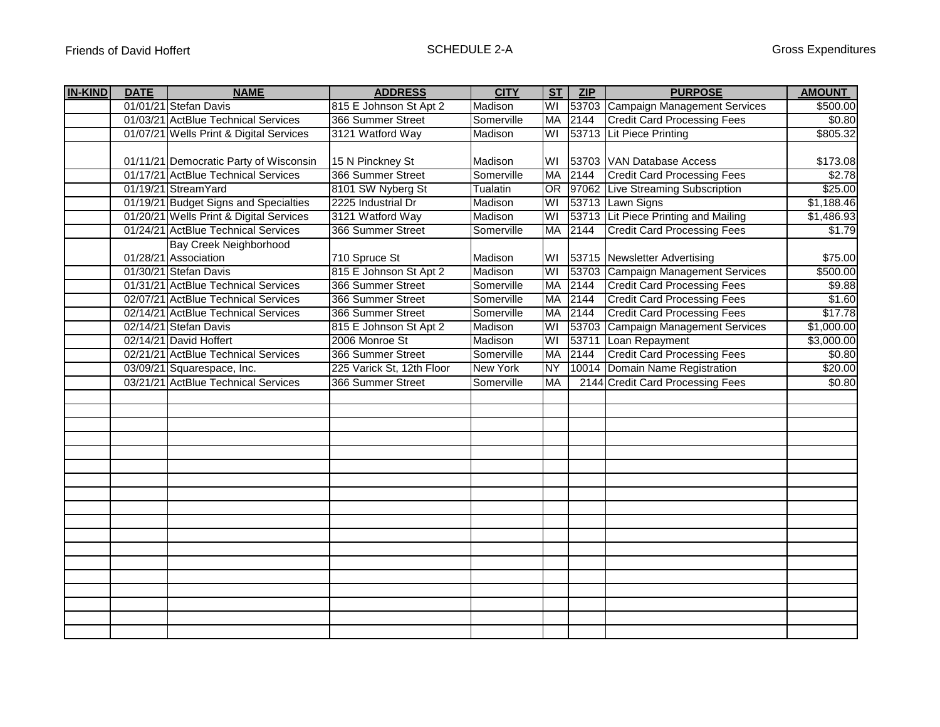| <b>IN-KIND</b> | <b>DATE</b> | <b>NAME</b>                             | <b>ADDRESS</b>            | <b>CITY</b>     | ST                      | ZIP  | <b>PURPOSE</b>                       | <b>AMOUNT</b> |
|----------------|-------------|-----------------------------------------|---------------------------|-----------------|-------------------------|------|--------------------------------------|---------------|
|                |             | 01/01/21 Stefan Davis                   | 815 E Johnson St Apt 2    | Madison         | WI                      |      | 53703 Campaign Management Services   | \$500.00      |
|                |             | 01/03/21 ActBlue Technical Services     | 366 Summer Street         | Somerville      | <b>MA</b>               | 2144 | <b>Credit Card Processing Fees</b>   | \$0.80        |
|                |             | 01/07/21 Wells Print & Digital Services | 3121 Watford Way          | Madison         | WI                      |      | 53713 Lit Piece Printing             | \$805.32      |
|                |             |                                         |                           |                 |                         |      |                                      |               |
|                |             | 01/11/21 Democratic Party of Wisconsin  | 15 N Pinckney St          | Madison         | WI                      |      | 53703 VAN Database Access            | \$173.08      |
|                |             | 01/17/21 ActBlue Technical Services     | 366 Summer Street         | Somerville      | <b>MA</b>               | 2144 | <b>Credit Card Processing Fees</b>   | \$2.78        |
|                |             | 01/19/21 StreamYard                     | 8101 SW Nyberg St         | Tualatin        | OR                      |      | 97062 Live Streaming Subscription    | \$25.00       |
|                |             | 01/19/21 Budget Signs and Specialties   | 2225 Industrial Dr        | Madison         | WI                      |      | 53713 Lawn Signs                     | \$1,188.46    |
|                |             | 01/20/21 Wells Print & Digital Services | 3121 Watford Way          | Madison         | WI                      |      | 53713 Lit Piece Printing and Mailing | \$1,486.93    |
|                |             | 01/24/21 ActBlue Technical Services     | 366 Summer Street         | Somerville      | <b>MA</b>               | 2144 | <b>Credit Card Processing Fees</b>   | \$1.79        |
|                |             | <b>Bay Creek Neighborhood</b>           |                           |                 |                         |      |                                      |               |
|                |             | 01/28/21 Association                    | 710 Spruce St             | Madison         | WI                      |      | 53715 Newsletter Advertising         | \$75.00       |
|                |             | 01/30/21 Stefan Davis                   | 815 E Johnson St Apt 2    | Madison         | WI                      |      | 53703 Campaign Management Services   | \$500.00      |
|                |             | 01/31/21 ActBlue Technical Services     | 366 Summer Street         | Somerville      | MA                      | 2144 | <b>Credit Card Processing Fees</b>   | \$9.88        |
|                |             | 02/07/21 ActBlue Technical Services     | 366 Summer Street         | Somerville      | <b>MA</b>               | 2144 | <b>Credit Card Processing Fees</b>   | \$1.60        |
|                |             | 02/14/21 ActBlue Technical Services     | 366 Summer Street         | Somerville      | <b>MA</b>               | 2144 | <b>Credit Card Processing Fees</b>   | \$17.78       |
|                |             | 02/14/21 Stefan Davis                   | 815 E Johnson St Apt 2    | Madison         | WI                      |      | 53703 Campaign Management Services   | \$1,000.00    |
|                |             | 02/14/21 David Hoffert                  | 2006 Monroe St            | Madison         | $\overline{\mathsf{W}}$ |      | 53711 Loan Repayment                 | \$3,000.00    |
|                |             | 02/21/21 ActBlue Technical Services     | 366 Summer Street         | Somerville      | <b>MA</b>               | 2144 | <b>Credit Card Processing Fees</b>   | \$0.80        |
|                |             | 03/09/21 Squarespace, Inc.              | 225 Varick St, 12th Floor | <b>New York</b> | <b>NY</b>               |      | 10014 Domain Name Registration       | \$20.00       |
|                |             | 03/21/21 ActBlue Technical Services     | 366 Summer Street         | Somerville      | <b>MA</b>               |      | 2144 Credit Card Processing Fees     | \$0.80        |
|                |             |                                         |                           |                 |                         |      |                                      |               |
|                |             |                                         |                           |                 |                         |      |                                      |               |
|                |             |                                         |                           |                 |                         |      |                                      |               |
|                |             |                                         |                           |                 |                         |      |                                      |               |
|                |             |                                         |                           |                 |                         |      |                                      |               |
|                |             |                                         |                           |                 |                         |      |                                      |               |
|                |             |                                         |                           |                 |                         |      |                                      |               |
|                |             |                                         |                           |                 |                         |      |                                      |               |
|                |             |                                         |                           |                 |                         |      |                                      |               |
|                |             |                                         |                           |                 |                         |      |                                      |               |
|                |             |                                         |                           |                 |                         |      |                                      |               |
|                |             |                                         |                           |                 |                         |      |                                      |               |
|                |             |                                         |                           |                 |                         |      |                                      |               |
|                |             |                                         |                           |                 |                         |      |                                      |               |
|                |             |                                         |                           |                 |                         |      |                                      |               |
|                |             |                                         |                           |                 |                         |      |                                      |               |
|                |             |                                         |                           |                 |                         |      |                                      |               |
|                |             |                                         |                           |                 |                         |      |                                      |               |